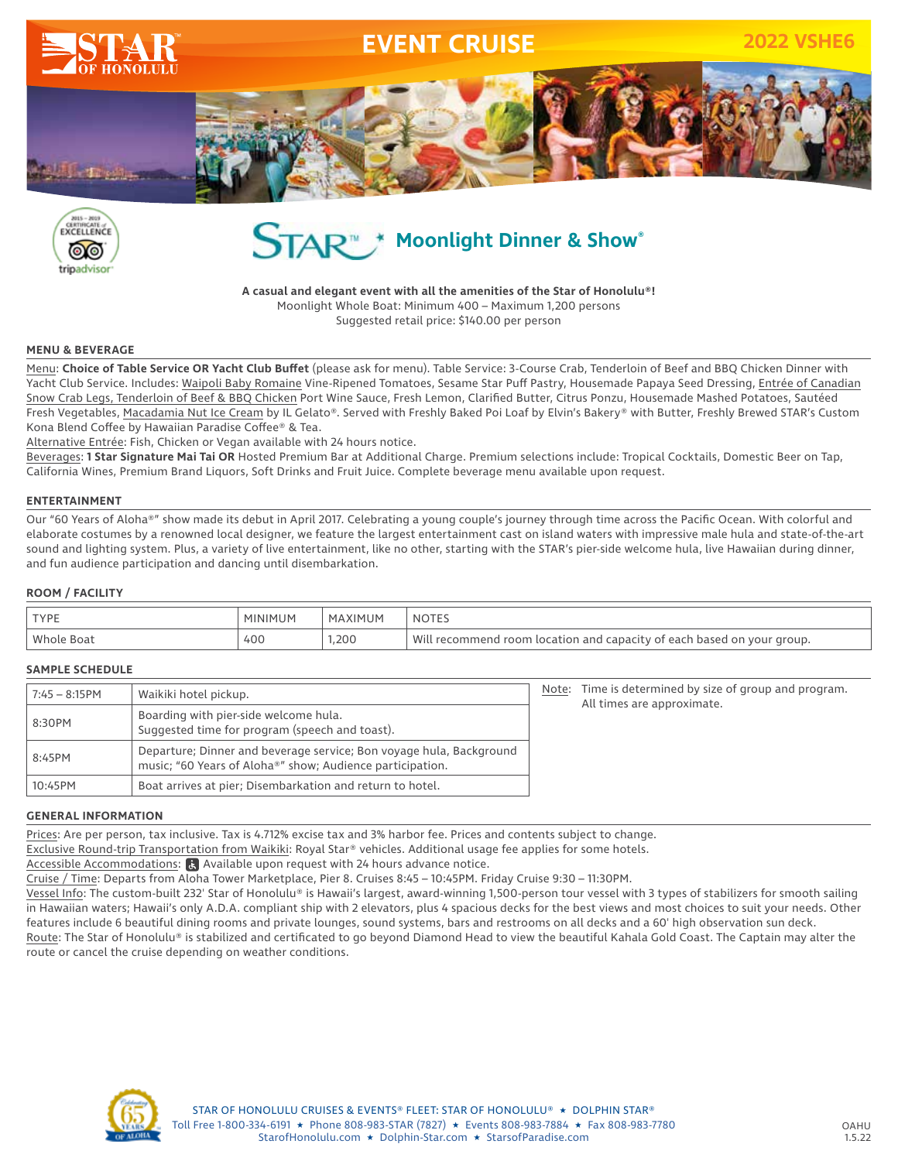



**STAR<sup>™</sup> /\* Moonlight Dinner & Show**®

**A casual and elegant event with all the amenities of the Star of Honolulu®!** Moonlight Whole Boat: Minimum 400 – Maximum 1,200 persons Suggested retail price: \$140.00 per person

#### **MENU & BEVERAGE**

Menu: **Choice of Table Service OR Yacht Club Buffet** (please ask for menu). Table Service: 3-Course Crab, Tenderloin of Beef and BBQ Chicken Dinner with Yacht Club Service. Includes: Waipoli Baby Romaine Vine-Ripened Tomatoes, Sesame Star Puff Pastry, Housemade Papaya Seed Dressing, Entrée of Canadian Snow Crab Legs, Tenderloin of Beef & BBQ Chicken Port Wine Sauce, Fresh Lemon, Clarified Butter, Citrus Ponzu, Housemade Mashed Potatoes, Sautéed Fresh Vegetables, Macadamia Nut Ice Cream by IL Gelato®. Served with Freshly Baked Poi Loaf by Elvin's Bakery® with Butter, Freshly Brewed STAR's Custom Kona Blend Coffee by Hawaiian Paradise Coffee® & Tea.

Alternative Entrée: Fish, Chicken or Vegan available with 24 hours notice.

Beverages: **1 Star Signature Mai Tai OR** Hosted Premium Bar at Additional Charge. Premium selections include: Tropical Cocktails, Domestic Beer on Tap, California Wines, Premium Brand Liquors, Soft Drinks and Fruit Juice. Complete beverage menu available upon request.

#### **ENTERTAINMENT**

Our "60 Years of Aloha®" show made its debut in April 2017. Celebrating a young couple's journey through time across the Pacific Ocean. With colorful and elaborate costumes by a renowned local designer, we feature the largest entertainment cast on island waters with impressive male hula and state-of-the-art sound and lighting system. Plus, a variety of live entertainment, like no other, starting with the STAR's pier-side welcome hula, live Hawaiian during dinner, and fun audience participation and dancing until disembarkation.

#### **ROOM / FACILITY**

| <b>TYPE</b> | MINIMUM | MAXIMUM | NOTE:                                                                     |
|-------------|---------|---------|---------------------------------------------------------------------------|
| Whole Boat  | 400     | 1,200   | Will<br>recommend room location and capacity of each based on your group. |

#### **SAMPLE SCHEDULE**

| $7:45 - 8:15$ PM | Waikiki hotel pickup.                                                                                                            |  | Time is determined by size of group and program.<br>All times are approximate. |
|------------------|----------------------------------------------------------------------------------------------------------------------------------|--|--------------------------------------------------------------------------------|
| 8:30PM           | Boarding with pier-side welcome hula.<br>Suggested time for program (speech and toast).                                          |  |                                                                                |
| 8:45PM           | Departure; Dinner and beverage service; Bon voyage hula, Background<br>music; "60 Years of Aloha®" show; Audience participation. |  |                                                                                |
| 10:45PM          | Boat arrives at pier; Disembarkation and return to hotel.                                                                        |  |                                                                                |

#### **GENERAL INFORMATION**

Prices: Are per person, tax inclusive. Tax is 4.712% excise tax and 3% harbor fee. Prices and contents subject to change.

Exclusive Round-trip Transportation from Waikiki: Royal Star® vehicles. Additional usage fee applies for some hotels.

Accessible Accommodations: **a** Available upon request with 24 hours advance notice.

Cruise / Time: Departs from Aloha Tower Marketplace, Pier 8. Cruises 8:45 – 10:45PM. Friday Cruise 9:30 – 11:30PM.

Vessel Info: The custom-built 232' Star of Honolulu® is Hawaii's largest, award-winning 1,500-person tour vessel with 3 types of stabilizers for smooth sailing in Hawaiian waters; Hawaii's only A.D.A. compliant ship with 2 elevators, plus 4 spacious decks for the best views and most choices to suit your needs. Other features include 6 beautiful dining rooms and private lounges, sound systems, bars and restrooms on all decks and a 60' high observation sun deck. Route: The Star of Honolulu® is stabilized and certificated to go beyond Diamond Head to view the beautiful Kahala Gold Coast. The Captain may alter the route or cancel the cruise depending on weather conditions.